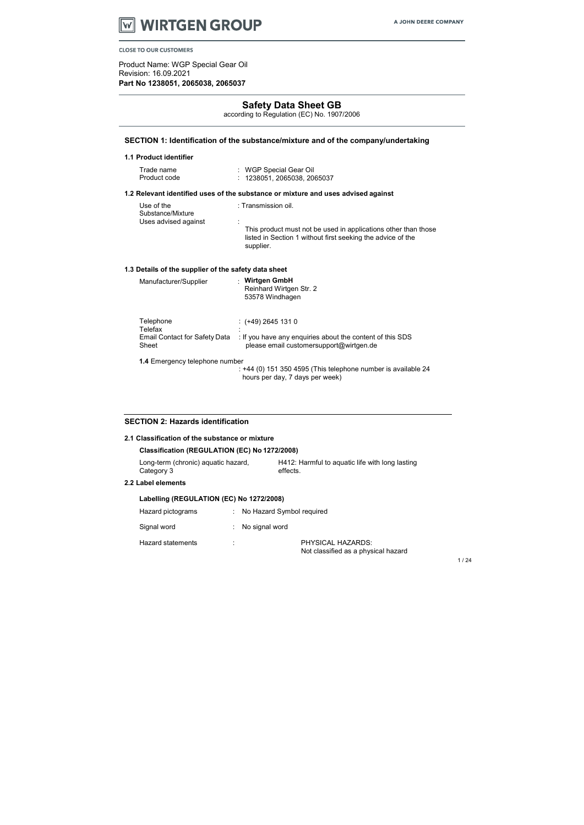

Product Name: WGP Special Gear Oil Revision: 16.09.2021 Part No 1238051, 2065038, 2065037

1 / 24

# Safety Data Sheet GB

according to Regulation (EC) No. 1907/2006

| Trade name   | : WGP Special Gear Oil      |
|--------------|-----------------------------|
| Product code | : 1238051, 2065038, 2065037 |

# SECTION 1: Identification of the substance/mixture and of the company/undertaking

#### 1.1 Product identifier

#### 1.2 Relevant identified uses of the substance or mixture and uses advised against

: +44 (0) 151 350 4595 (This telephone number is available 24 hours per day, 7 days per week)

| Manufacturer/Supplier                                          | <b>Wirtgen GmbH</b><br>Reinhard Wirtgen Str. 2<br>53578 Windhagen                                                          |
|----------------------------------------------------------------|----------------------------------------------------------------------------------------------------------------------------|
| Telephone<br>Telefax<br>Email Contact for Safety Data<br>Sheet | : (+49) 2645 131 0<br>: If you have any enquiries about the content of this SDS<br>please email customersupport@wirtgen.de |

| Use of the<br>Substance/Mixture | : Transmission oil.                                                                                                                        |
|---------------------------------|--------------------------------------------------------------------------------------------------------------------------------------------|
| Uses advised against            | This product must not be used in applications other than those<br>listed in Section 1 without first seeking the advice of the<br>supplier. |

# 1.3 Details of the supplier of the safety data sheet

1.4 Emergency telephone number

#### SECTION 2: Hazards identification

| 2.1 Classification of the substance or mixture    |  |                                                             |  |  |
|---------------------------------------------------|--|-------------------------------------------------------------|--|--|
| Classification (REGULATION (EC) No 1272/2008)     |  |                                                             |  |  |
| Long-term (chronic) aquatic hazard,<br>Category 3 |  | H412: Harmful to aquatic life with long lasting<br>effects. |  |  |
| 2.2 Label elements                                |  |                                                             |  |  |
| Labelling (REGULATION (EC) No 1272/2008)          |  |                                                             |  |  |
| Hazard pictograms                                 |  | No Hazard Symbol required                                   |  |  |
| Signal word                                       |  | No signal word                                              |  |  |
| <b>Hazard statements</b>                          |  | PHYSICAL HAZARDS:<br>Not classified as a physical hazard    |  |  |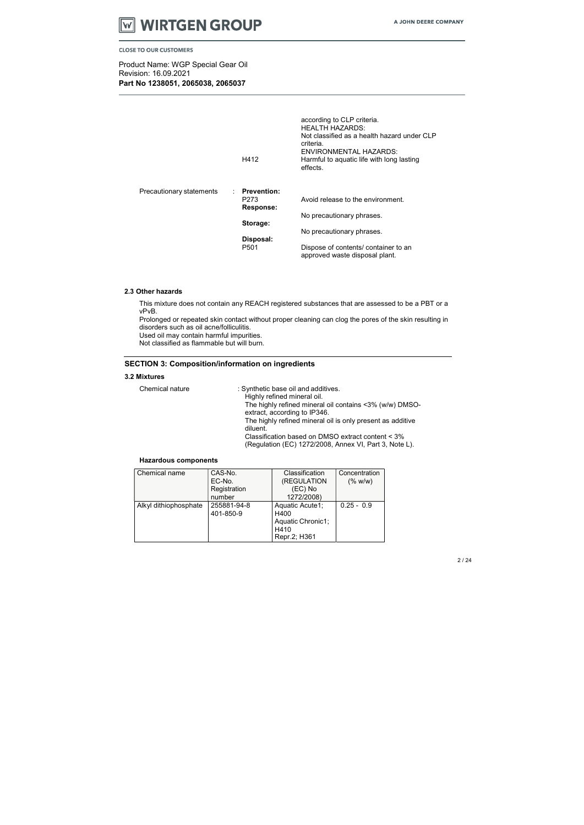

Product Name: WGP Special Gear Oil Revision: 16.09.2021 Part No 1238051, 2065038, 2065037

|                          | H412                                      | according to CLP criteria.<br><b>HEALTH HAZARDS:</b><br>Not classified as a health hazard under CLP<br>criteria.<br>ENVIRONMENTAL HAZARDS:<br>Harmful to aquatic life with long lasting<br>effects. |
|--------------------------|-------------------------------------------|-----------------------------------------------------------------------------------------------------------------------------------------------------------------------------------------------------|
| Precautionary statements | : Prevention:<br>P273<br><b>Response:</b> | Avoid release to the environment.                                                                                                                                                                   |
|                          |                                           | No precautionary phrases.                                                                                                                                                                           |
|                          | Storage:                                  | No precautionary phrases.                                                                                                                                                                           |
|                          | Disposal:                                 |                                                                                                                                                                                                     |
|                          | P <sub>501</sub>                          | Dispose of contents/ container to an<br>approved waste disposal plant.                                                                                                                              |

#### 2.3 Other hazards

This mixture does not contain any REACH registered substances that are assessed to be a PBT or a vPvB.

Prolonged or repeated skin contact without proper cleaning can clog the pores of the skin resulting in disorders such as oil acne/folliculitis.

Used oil may contain harmful impurities.

Not classified as flammable but will burn.

# SECTION 3: Composition/information on ingredients

#### 3.2 Mixtures

| Chemical nature | : Synthetic base oil and additives.                        |
|-----------------|------------------------------------------------------------|
|                 | Highly refined mineral oil.                                |
|                 | The highly refined mineral oil contains <3% (w/w) DMSO-    |
|                 | extract, according to IP346.                               |
|                 | The highly refined mineral oil is only present as additive |
|                 | diluent.                                                   |
|                 | Classification based on DMSO extract content < 3%          |
|                 | (Regulation (EC) 1272/2008, Annex VI, Part 3, Note L).     |

#### Hazardous components

| Chemical name         | CAS-No.      | Classification    | Concentration |
|-----------------------|--------------|-------------------|---------------|
|                       | EC-No.       | (REGULATION       | (% w/w)       |
|                       | Registration | (EC) No           |               |
|                       | number       | 1272/2008)        |               |
| Alkyl dithiophosphate | 255881-94-8  | Aquatic Acute1;   | $0.25 - 0.9$  |
|                       | 401-850-9    | H400              |               |
|                       |              | Aquatic Chronic1; |               |
|                       |              | H410              |               |
|                       |              | Repr.2; H361      |               |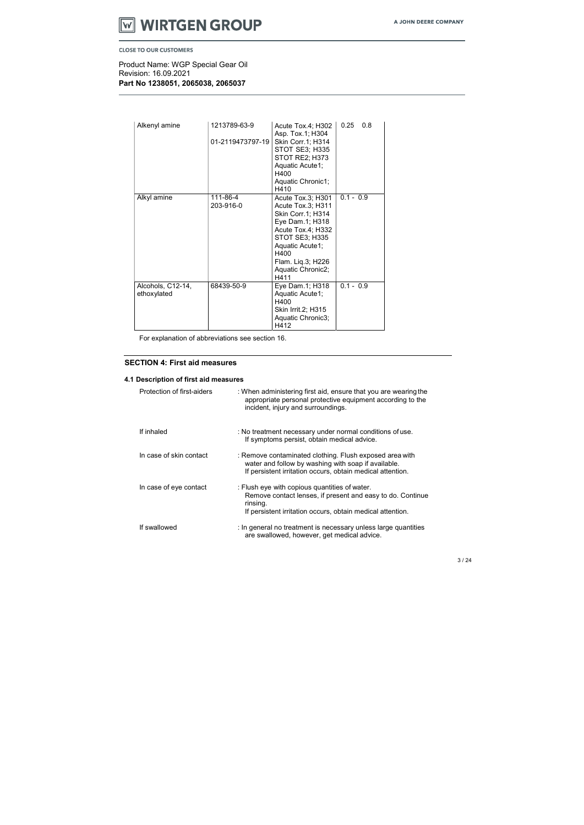# **WIRTGEN GROUP VV**

**CLOSE TO OUR CUSTOMERS** 

Product Name: WGP Special Gear Oil Revision: 16.09.2021 Part No 1238051, 2065038, 2065037

| Alkenyl amine                    | 1213789-63-9          | Acute Tox.4; H302<br>Asp. Tox.1; H304                                                                                                                                                                     | 0.8<br>0.25 |
|----------------------------------|-----------------------|-----------------------------------------------------------------------------------------------------------------------------------------------------------------------------------------------------------|-------------|
|                                  | 01-2119473797-19      | Skin Corr.1; H314<br><b>STOT SE3; H335</b><br>STOT RE2; H373<br>Aquatic Acute1;<br>H400<br>Aquatic Chronic1;<br>H410                                                                                      |             |
| Alkyl amine                      | 111-86-4<br>203-916-0 | Acute Tox.3; H301<br>Acute Tox.3; H311<br>Skin Corr.1; H314<br>Eye Dam.1; H318<br>Acute Tox.4; H332<br><b>STOT SE3; H335</b><br>Aquatic Acute1;<br>H400<br>Flam. Liq.3; H226<br>Aquatic Chronic2;<br>H411 | $0.1 - 0.9$ |
| Alcohols, C12-14,<br>ethoxylated | 68439-50-9            | Eye Dam.1; H318<br>Aquatic Acute1;<br>H400<br>Skin Irrit.2; H315<br>Aquatic Chronic3;<br>H412                                                                                                             | $0.1 - 0.9$ |

For explanation of abbreviations see section 16.

# SECTION 4: First aid measures

# 4.1 Description of first aid measures

| Protection of first-aiders | : When administering first aid, ensure that you are wearing the<br>appropriate personal protective equipment according to the<br>incident, injury and surroundings.                   |
|----------------------------|---------------------------------------------------------------------------------------------------------------------------------------------------------------------------------------|
| If inhaled                 | : No treatment necessary under normal conditions of use.<br>If symptoms persist, obtain medical advice.                                                                               |
| In case of skin contact    | : Remove contaminated clothing. Flush exposed area with<br>water and follow by washing with soap if available.<br>If persistent irritation occurs, obtain medical attention.          |
| In case of eye contact     | : Flush eye with copious quantities of water.<br>Remove contact lenses, if present and easy to do. Continue<br>rinsing.<br>If persistent irritation occurs, obtain medical attention. |
| If swallowed               | : In general no treatment is necessary unless large quantities<br>are swallowed, however, get medical advice.                                                                         |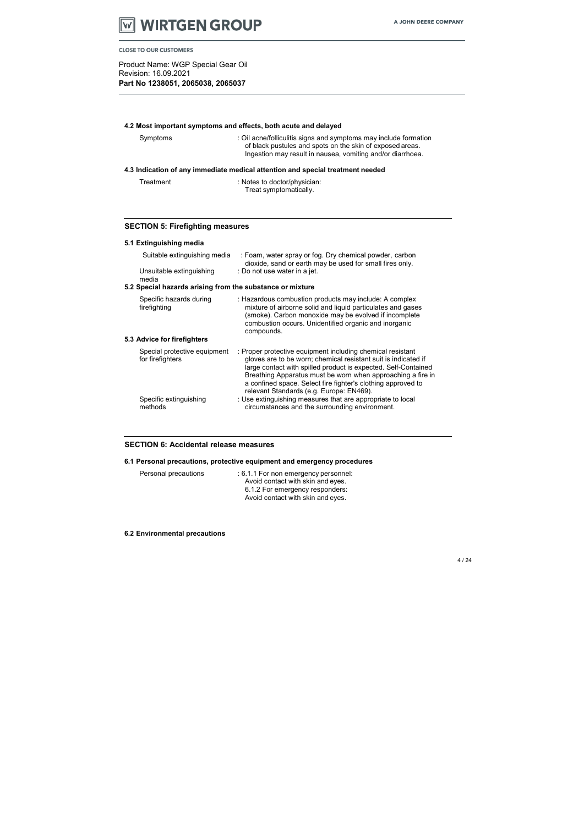

Product Name: WGP Special Gear Oil Revision: 16.09.2021 Part No 1238051, 2065038, 2065037

# 4.2 Most important symptoms and effects, both acute and delayed

Treatment : Notes to doctor/physician: Treat symptomatically.

| Symptoms                                                                       | : Oil acne/folliculitis signs and symptoms may include formation<br>of black pustules and spots on the skin of exposed areas.<br>Ingestion may result in nausea, vomiting and/or diarrhoea. |  |  |  |
|--------------------------------------------------------------------------------|---------------------------------------------------------------------------------------------------------------------------------------------------------------------------------------------|--|--|--|
| 4.3 Indication of any immediate medical attention and special treatment needed |                                                                                                                                                                                             |  |  |  |

# SECTION 5: Firefighting measures

|  | 5.1 Extinguishing media |  |
|--|-------------------------|--|
|--|-------------------------|--|

| Suitable extinguishing media                              | : Foam, water spray or fog. Dry chemical powder, carbon<br>dioxide, sand or earth may be used for small fires only.                                                                                                                                                                                                                                                       |
|-----------------------------------------------------------|---------------------------------------------------------------------------------------------------------------------------------------------------------------------------------------------------------------------------------------------------------------------------------------------------------------------------------------------------------------------------|
| Unsuitable extinguishing<br>media                         | : Do not use water in a jet.                                                                                                                                                                                                                                                                                                                                              |
| 5.2 Special hazards arising from the substance or mixture |                                                                                                                                                                                                                                                                                                                                                                           |
| Specific hazards during<br>firefighting                   | : Hazardous combustion products may include: A complex<br>mixture of airborne solid and liquid particulates and gases<br>(smoke). Carbon monoxide may be evolved if incomplete<br>combustion occurs. Unidentified organic and inorganic<br>compounds.                                                                                                                     |
| 5.3 Advice for firefighters                               |                                                                                                                                                                                                                                                                                                                                                                           |
| Special protective equipment<br>for firefighters          | : Proper protective equipment including chemical resistant<br>gloves are to be worn; chemical resistant suit is indicated if<br>large contact with spilled product is expected. Self-Contained<br>Breathing Apparatus must be worn when approaching a fire in<br>a confined space. Select fire fighter's clothing approved to<br>relevant Standards (e.g. Europe: EN469). |
| Specific extinguishing<br>methods                         | : Use extinguishing measures that are appropriate to local<br>circumstances and the surrounding environment.                                                                                                                                                                                                                                                              |
|                                                           |                                                                                                                                                                                                                                                                                                                                                                           |

#### SECTION 6: Accidental release measures

# 6.1 Personal precautions, protective equipment and emergency procedures

| Personal precautions | : 6.1.1 For non emergency personnel: |
|----------------------|--------------------------------------|
|                      | Avoid contact with skin and eyes.    |
|                      | 6.1.2 For emergency responders:      |
|                      | Avoid contact with skin and eyes.    |

6.2 Environmental precautions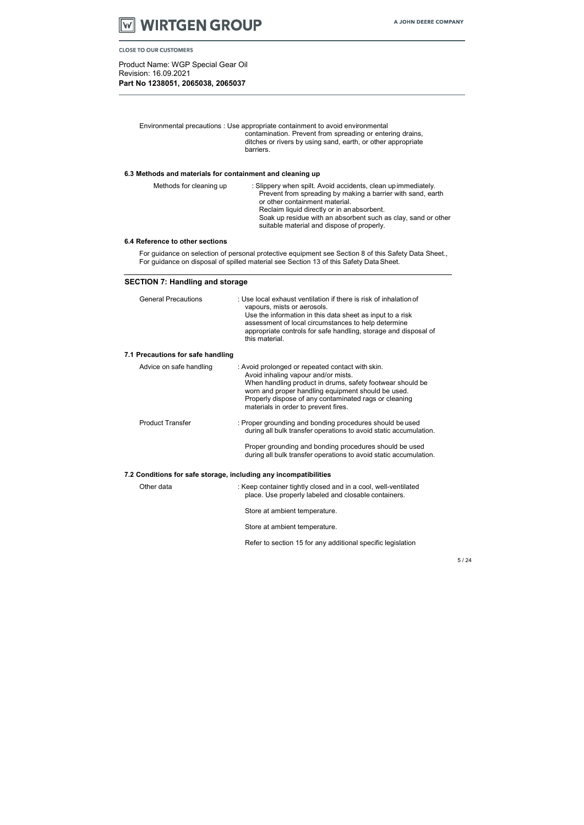

Product Name: WGP Special Gear Oil Revision: 16.09.2021 Part No 1238051, 2065038, 2065037

Environmental precautions : Use appropriate containment to avoid environmental contamination. Prevent from spreading or entering drains, ditches or rivers by using sand, earth, or other appropriate barriers.

# 6.3 Methods and materials for containment and cleaning up

| Methods for cleaning up | : Slippery when spilt. Avoid accidents, clean up immediately.<br>Prevent from spreading by making a barrier with sand, earth<br>or other containment material. |
|-------------------------|----------------------------------------------------------------------------------------------------------------------------------------------------------------|
|                         | Reclaim liquid directly or in an absorbent.<br>Soak up residue with an absorbent such as clay, sand or other<br>suitable material and dispose of properly.     |

#### 6.4 Reference to other sections

For guidance on selection of personal protective equipment see Section 8 of this Safety Data Sheet., For guidance on disposal of spilled material see Section 13 of this Safety Data Sheet.

# SECTION 7: Handling and storage

| <b>General Precautions</b>                                       | : Use local exhaust ventilation if there is risk of inhalation of<br>vapours, mists or aerosols.<br>Use the information in this data sheet as input to a risk<br>assessment of local circumstances to help determine<br>appropriate controls for safe handling, storage and disposal of<br>this material.   |
|------------------------------------------------------------------|-------------------------------------------------------------------------------------------------------------------------------------------------------------------------------------------------------------------------------------------------------------------------------------------------------------|
| 7.1 Precautions for safe handling                                |                                                                                                                                                                                                                                                                                                             |
| Advice on safe handling                                          | : Avoid prolonged or repeated contact with skin.<br>Avoid inhaling vapour and/or mists.<br>When handling product in drums, safety footwear should be<br>worn and proper handling equipment should be used.<br>Properly dispose of any contaminated rags or cleaning<br>materials in order to prevent fires. |
| <b>Product Transfer</b>                                          | : Proper grounding and bonding procedures should be used<br>during all bulk transfer operations to avoid static accumulation.<br>Proper grounding and bonding procedures should be used<br>during all bulk transfer operations to avoid static accumulation.                                                |
|                                                                  |                                                                                                                                                                                                                                                                                                             |
| 7.2 Conditions for safe storage, including any incompatibilities |                                                                                                                                                                                                                                                                                                             |
| Other data                                                       | : Keep container tightly closed and in a cool, well-ventilated<br>place. Use properly labeled and closable containers.                                                                                                                                                                                      |
|                                                                  | Store at ambient temperature.                                                                                                                                                                                                                                                                               |
|                                                                  | Store at ambient temperature.                                                                                                                                                                                                                                                                               |
|                                                                  | Refer to section 15 for any additional specific legislation                                                                                                                                                                                                                                                 |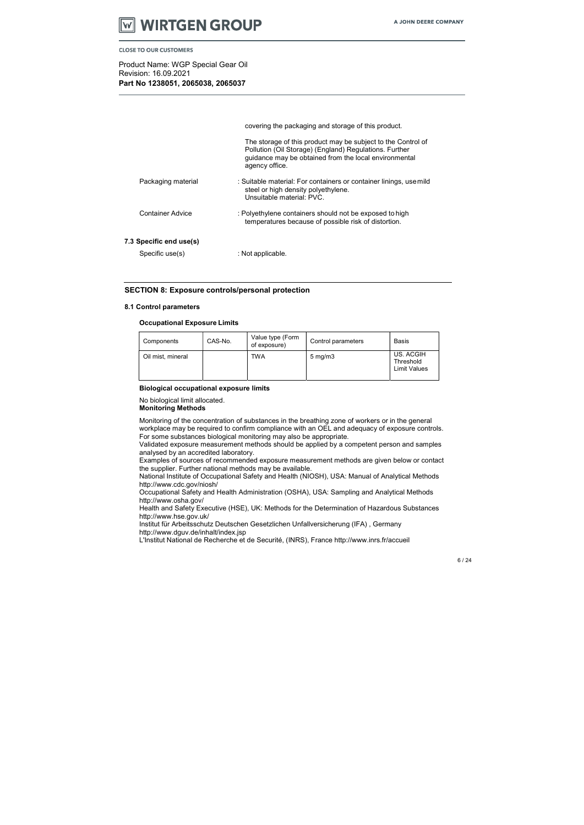

Product Name: WGP Special Gear Oil Revision: 16.09.2021 Part No 1238051, 2065038, 2065037

|                         | covering the packaging and storage of this product.                                                                                                                                               |
|-------------------------|---------------------------------------------------------------------------------------------------------------------------------------------------------------------------------------------------|
|                         | The storage of this product may be subject to the Control of<br>Pollution (Oil Storage) (England) Regulations. Further<br>guidance may be obtained from the local environmental<br>agency office. |
| Packaging material      | : Suitable material: For containers or container linings, use mild<br>steel or high density polyethylene.<br>Unsuitable material: PVC.                                                            |
| Container Advice        | : Polyethylene containers should not be exposed to high<br>temperatures because of possible risk of distortion.                                                                                   |
| 7.3 Specific end use(s) |                                                                                                                                                                                                   |
| Specific use(s)         | : Not applicable.                                                                                                                                                                                 |
|                         |                                                                                                                                                                                                   |

#### SECTION 8: Exposure controls/personal protection

#### 8.1 Control parameters

#### Occupational Exposure Limits

#### Biological occupational exposure limits

No biological limit allocated.

Monitoring Methods

Monitoring of the concentration of substances in the breathing zone of workers or in the general workplace may be required to confirm compliance with an OEL and adequacy of exposure controls. For some substances biological monitoring may also be appropriate.

Validated exposure measurement methods should be applied by a competent person and samples analysed by an accredited laboratory.

Examples of sources of recommended exposure measurement methods are given below or contact the supplier. Further national methods may be available.

National Institute of Occupational Safety and Health (NIOSH), USA: Manual of Analytical Methods http://www.cdc.gov/niosh/

Occupational Safety and Health Administration (OSHA), USA: Sampling and Analytical Methods http://www.osha.gov/

Health and Safety Executive (HSE), UK: Methods for the Determination of Hazardous Substances http://www.hse.gov.uk/

Institut für Arbeitsschutz Deutschen Gesetzlichen Unfallversicherung (IFA) , Germany http://www.dguv.de/inhalt/index.jsp

L'Institut National de Recherche et de Securité, (INRS), France http://www.inrs.fr/accueil

| Components        | CAS-No. | Value type (Form<br>of exposure) | Control parameters | Basis                                  |
|-------------------|---------|----------------------------------|--------------------|----------------------------------------|
| Oil mist, mineral |         | TWA                              | $5 \text{ mg/m}$   | US. ACGIH<br>Threshold<br>Limit Values |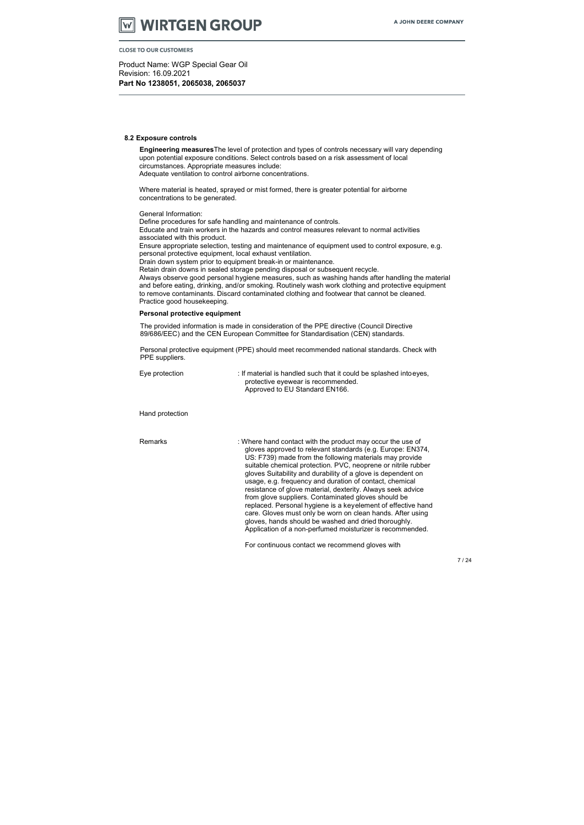# **WIRTGEN GROUP**

**CLOSE TO OUR CUSTOMERS** 

Product Name: WGP Special Gear Oil Revision: 16.09.2021 Part No 1238051, 2065038, 2065037

#### 8.2 Exposure controls

Engineering measuresThe level of protection and types of controls necessary will vary depending upon potential exposure conditions. Select controls based on a risk assessment of local circumstances. Appropriate measures include: Adequate ventilation to control airborne concentrations.

Where material is heated, sprayed or mist formed, there is greater potential for airborne concentrations to be generated.

General Information:

Personal protective equipment (PPE) should meet recommended national standards. Check with PPE suppliers.

Define procedures for safe handling and maintenance of controls. Educate and train workers in the hazards and control measures relevant to normal activities associated with this product. Ensure appropriate selection, testing and maintenance of equipment used to control exposure, e.g. personal protective equipment, local exhaust ventilation. Drain down system prior to equipment break-in or maintenance. Retain drain downs in sealed storage pending disposal or subsequent recycle. Always observe good personal hygiene measures, such as washing hands after handling the material and before eating, drinking, and/or smoking. Routinely wash work clothing and protective equipment to remove contaminants. Discard contaminated clothing and footwear that cannot be cleaned. Practice good housekeeping.

Remarks : Where hand contact with the product may occur the use of gloves approved to relevant standards (e.g. Europe: EN374, US: F739) made from the following materials may provide suitable chemical protection. PVC, neoprene or nitrile rubber gloves Suitability and durability of a glove is dependent on usage, e.g. frequency and duration of contact, chemical resistance of glove material, dexterity. Always seek advice from glove suppliers. Contaminated gloves should be replaced. Personal hygiene is a key element of effective hand care. Gloves must only be worn on clean hands. After using gloves, hands should be washed and dried thoroughly. Application of a non-perfumed moisturizer is recommended.

#### Personal protective equipment

The provided information is made in consideration of the PPE directive (Council Directive 89/686/EEC) and the CEN European Committee for Standardisation (CEN) standards.

| Eye protection | : If material is handled such that it could be splashed intoeyes, |
|----------------|-------------------------------------------------------------------|
|                | protective eyewear is recommended.                                |
|                | Approved to EU Standard EN166.                                    |

#### Hand protection

For continuous contact we recommend gloves with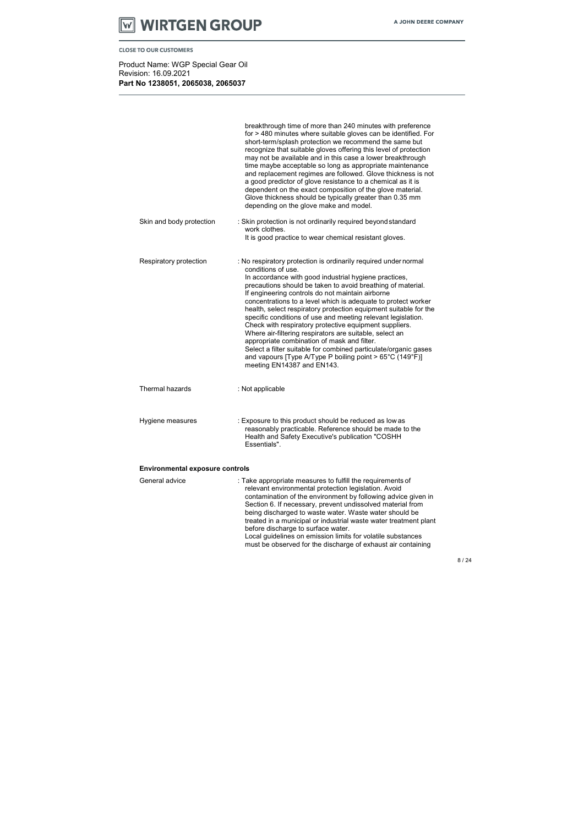# **WIRTGEN GROUP AV**

**CLOSE TO OUR CUSTOMERS** 

Product Name: WGP Special Gear Oil Revision: 16.09.2021 Part No 1238051, 2065038, 2065037

|                                        | breakthrough time of more than 240 minutes with preference<br>for > 480 minutes where suitable gloves can be identified. For<br>short-term/splash protection we recommend the same but<br>recognize that suitable gloves offering this level of protection<br>may not be available and in this case a lower breakthrough<br>time maybe acceptable so long as appropriate maintenance<br>and replacement regimes are followed. Glove thickness is not<br>a good predictor of glove resistance to a chemical as it is<br>dependent on the exact composition of the glove material.<br>Glove thickness should be typically greater than 0.35 mm<br>depending on the glove make and model.                                                                                                                                       |  |
|----------------------------------------|------------------------------------------------------------------------------------------------------------------------------------------------------------------------------------------------------------------------------------------------------------------------------------------------------------------------------------------------------------------------------------------------------------------------------------------------------------------------------------------------------------------------------------------------------------------------------------------------------------------------------------------------------------------------------------------------------------------------------------------------------------------------------------------------------------------------------|--|
| Skin and body protection               | : Skin protection is not ordinarily required beyond standard<br>work clothes.<br>It is good practice to wear chemical resistant gloves.                                                                                                                                                                                                                                                                                                                                                                                                                                                                                                                                                                                                                                                                                      |  |
| Respiratory protection                 | : No respiratory protection is ordinarily required under normal<br>conditions of use.<br>In accordance with good industrial hygiene practices,<br>precautions should be taken to avoid breathing of material.<br>If engineering controls do not maintain airborne<br>concentrations to a level which is adequate to protect worker<br>health, select respiratory protection equipment suitable for the<br>specific conditions of use and meeting relevant legislation.<br>Check with respiratory protective equipment suppliers.<br>Where air-filtering respirators are suitable, select an<br>appropriate combination of mask and filter.<br>Select a filter suitable for combined particulate/organic gases<br>and vapours [Type A/Type P boiling point > $65^{\circ}$ C (149 $^{\circ}$ F)]<br>meeting EN14387 and EN143. |  |
| Thermal hazards                        | : Not applicable                                                                                                                                                                                                                                                                                                                                                                                                                                                                                                                                                                                                                                                                                                                                                                                                             |  |
| Hygiene measures                       | : Exposure to this product should be reduced as low as<br>reasonably practicable. Reference should be made to the<br>Health and Safety Executive's publication "COSHH<br>Essentials".                                                                                                                                                                                                                                                                                                                                                                                                                                                                                                                                                                                                                                        |  |
| <b>Environmental exposure controls</b> |                                                                                                                                                                                                                                                                                                                                                                                                                                                                                                                                                                                                                                                                                                                                                                                                                              |  |
| General advice                         | : Take appropriate measures to fulfill the requirements of<br>relevant environmental protection legislation. Avoid<br>contamination of the environment by following advice given in<br>Section 6. If necessary, prevent undissolved material from<br>being discharged to waste water. Waste water should be<br>treated in a municipal or industrial waste water treatment plant<br>before discharge to surface water.<br>Local guidelines on emission limits for volatile substances<br>must be observed for the discharge of exhaust air containing                                                                                                                                                                                                                                                                         |  |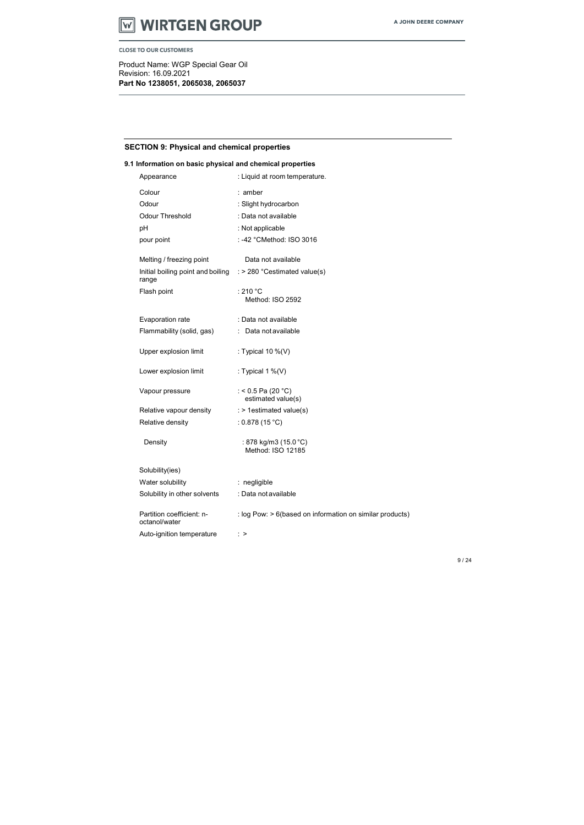

Product Name: WGP Special Gear Oil Revision: 16.09.2021 Part No 1238051, 2065038, 2065037

# SECTION 9: Physical and chemical properties

# 9.1 Information on basic physical and chemical properties

| Appearance                                                                       | : Liquid at room temperature.                            |
|----------------------------------------------------------------------------------|----------------------------------------------------------|
| Colour                                                                           | : amber                                                  |
| Odour                                                                            | : Slight hydrocarbon                                     |
| <b>Odour Threshold</b>                                                           | : Data not available                                     |
| pH                                                                               | : Not applicable                                         |
| pour point                                                                       | : -42 °CMethod: ISO 3016                                 |
| Melting / freezing point                                                         | Data not available                                       |
| Initial boiling point and boiling $\therefore$ 280 °Cestimated value(s)<br>range |                                                          |
| Flash point                                                                      | : 210 $^{\circ}$ C<br>Method: ISO 2592                   |
| Evaporation rate                                                                 | : Data not available                                     |
| Flammability (solid, gas)                                                        | : Data not available                                     |
| Upper explosion limit                                                            | : Typical $10\%$ (V)                                     |
| Lower explosion limit                                                            | : Typical 1 $\%$ (V)                                     |
| Vapour pressure                                                                  | : < 0.5 Pa (20 °C)<br>estimated value(s)                 |
| Relative vapour density                                                          | : > 1estimated value(s)                                  |
| Relative density                                                                 | : $0.878(15 °C)$                                         |
| Density                                                                          | : 878 kg/m3 (15.0 °C)<br>Method: ISO 12185               |
| Solubility(ies)                                                                  |                                                          |
| Water solubility                                                                 | : negligible                                             |
| Solubility in other solvents                                                     | : Data not available                                     |
| Partition coefficient: n-<br>octanol/water                                       | : log Pow: > 6(based on information on similar products) |
| Auto-ignition temperature                                                        | $\therefore$ >                                           |
|                                                                                  |                                                          |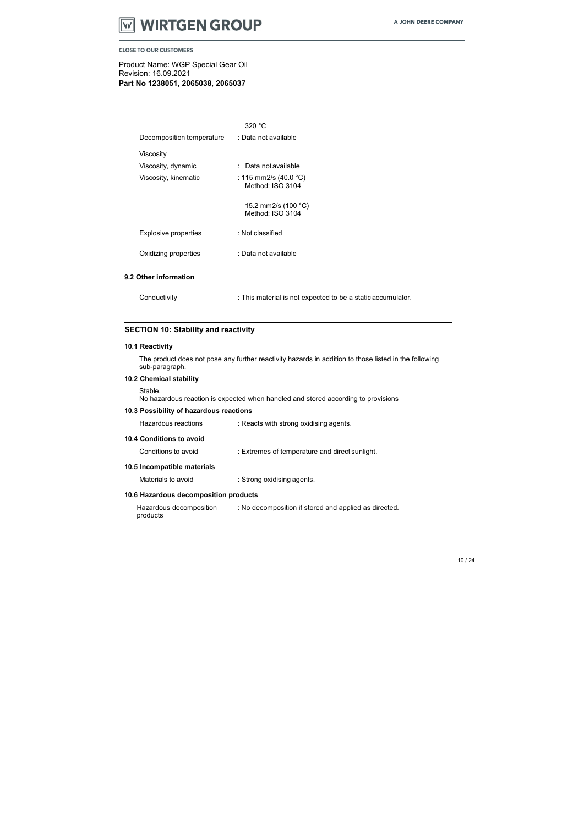

Product Name: WGP Special Gear Oil Revision: 16.09.2021 Part No 1238051, 2065038, 2065037

|                           | 320 °C                                                      |
|---------------------------|-------------------------------------------------------------|
| Decomposition temperature | : Data not available                                        |
| Viscosity                 |                                                             |
| Viscosity, dynamic        | : Data not available                                        |
| Viscosity, kinematic      | : 115 mm2/s (40.0 °C)<br>Method: ISO 3104                   |
|                           | 15.2 mm2/s (100 °C)<br>Method: ISO 3104                     |
| Explosive properties      | : Not classified                                            |
| Oxidizing properties      | : Data not available                                        |
| 9.2 Other information     |                                                             |
| Conductivity              | : This material is not expected to be a static accumulator. |

# SECTION 10: Stability and reactivity

#### 10.1 Reactivity

The product does not pose any further reactivity hazards in addition to those listed in the following sub-paragraph.

# 10.2 Chemical stability

Stable.

No hazardous reaction is expected when handled and stored according to provisions

#### 10.3 Possibility of hazardous reactions

| Hazardous reactions      | : Reacts with strong oxidising agents. |
|--------------------------|----------------------------------------|
| 10.4 Conditions to avoid |                                        |

Conditions to avoid : Extremes of temperature and direct sunlight.

#### 10.5 Incompatible materials

Materials to avoid : Strong oxidising agents.

# 10.6 Hazardous decomposition products

Hazardous decomposition products : No decomposition if stored and applied as directed.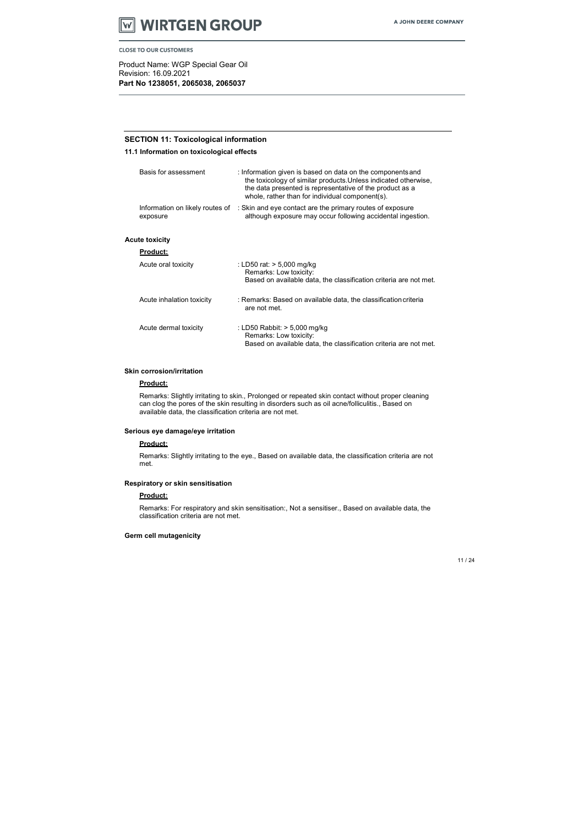

Product Name: WGP Special Gear Oil Revision: 16.09.2021 Part No 1238051, 2065038, 2065037

# SECTION 11: Toxicological information

11.1 Information on toxicological effects

| Basis for assessment                        | : Information given is based on data on the components and<br>the toxicology of similar products. Unless indicated otherwise,<br>the data presented is representative of the product as a<br>whole, rather than for individual component(s). |
|---------------------------------------------|----------------------------------------------------------------------------------------------------------------------------------------------------------------------------------------------------------------------------------------------|
| Information on likely routes of<br>exposure | : Skin and eye contact are the primary routes of exposure<br>although exposure may occur following accidental ingestion.                                                                                                                     |
| <b>Acute toxicity</b><br><u>Product:</u>    |                                                                                                                                                                                                                                              |
|                                             |                                                                                                                                                                                                                                              |

| Acute oral toxicity       | : LD50 rat: $> 5,000$ mg/kg<br>Remarks: Low toxicity:<br>Based on available data, the classification criteria are not met.    |
|---------------------------|-------------------------------------------------------------------------------------------------------------------------------|
| Acute inhalation toxicity | : Remarks: Based on available data, the classification criteria<br>are not met.                                               |
| Acute dermal toxicity     | : LD50 Rabbit: $> 5,000$ mg/kg<br>Remarks: Low toxicity:<br>Based on available data, the classification criteria are not met. |

#### Skin corrosion/irritation

#### Product:

Remarks: Slightly irritating to skin., Prolonged or repeated skin contact without proper cleaning can clog the pores of the skin resulting in disorders such as oil acne/folliculitis., Based on available data, the classification criteria are not met.

#### Serious eye damage/eye irritation

#### Product:

Remarks: Slightly irritating to the eye., Based on available data, the classification criteria are not met.

#### Respiratory or skin sensitisation

#### Product:

Remarks: For respiratory and skin sensitisation:, Not a sensitiser., Based on available data, the classification criteria are not met.

#### Germ cell mutagenicity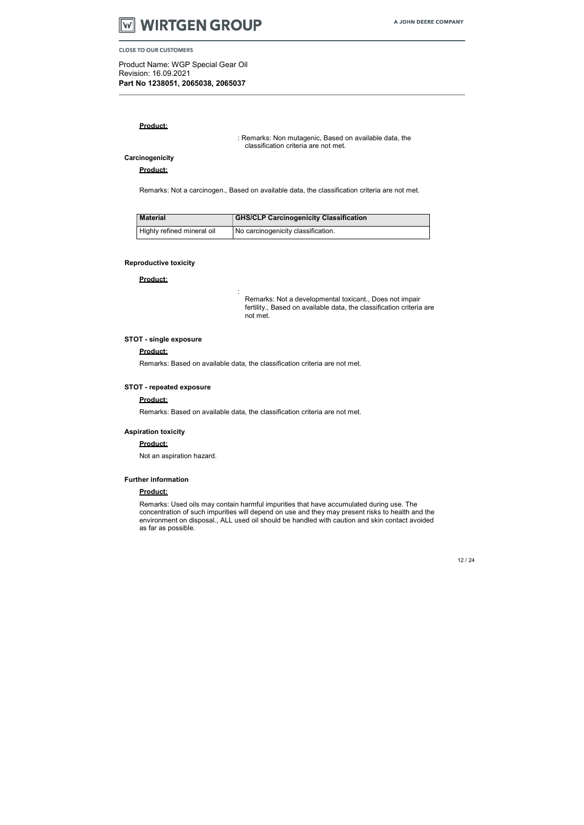

Product Name: WGP Special Gear Oil Revision: 16.09.2021 Part No 1238051, 2065038, 2065037

#### Product:

Product:

: Remarks: Non mutagenic, Based on available data, the classification criteria are not met.

#### **Carcinogenicity**

Remarks: Not a carcinogen., Based on available data, the classification criteria are not met.

| <b>Material</b>            | <b>GHS/CLP Carcinogenicity Classification</b> |
|----------------------------|-----------------------------------------------|
| Highly refined mineral oil | No carcinogenicity classification.            |

#### Reproductive toxicity

Product:

:

Remarks: Not a developmental toxicant., Does not impair fertility., Based on available data, the classification criteria are not met.

#### STOT - single exposure

#### Product:

Remarks: Based on available data, the classification criteria are not met.

#### STOT - repeated exposure

#### Product:

Remarks: Based on available data, the classification criteria are not met.

#### Aspiration toxicity

#### Product:

Not an aspiration hazard.

#### Further information

#### Product:

Remarks: Used oils may contain harmful impurities that have accumulated during use. The concentration of such impurities will depend on use and they may present risks to health and the environment on disposal., ALL used oil should be handled with caution and skin contact avoided as far as possible.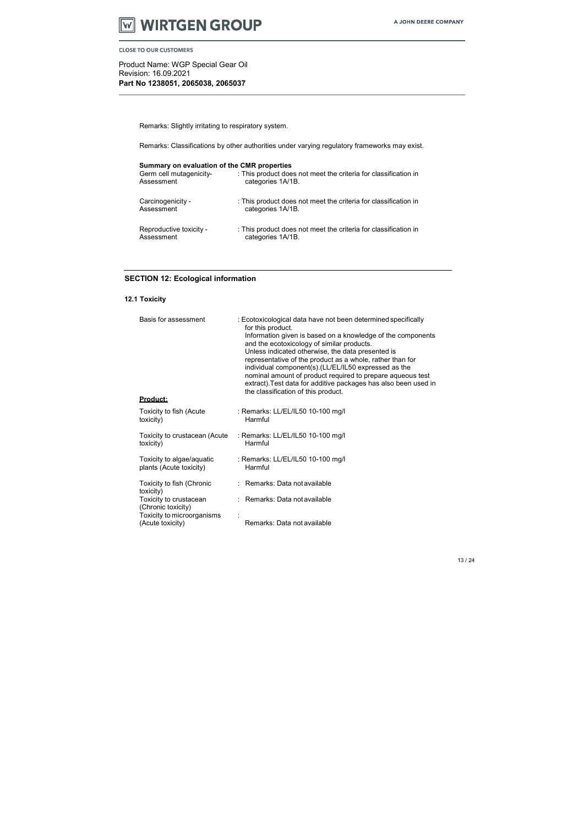

Product Name: WGP Special Gear Oil Revision: 16.09.2021 Part No 1238051, 2065038, 2065037

Remarks: Slightly irritating to respiratory system.

Remarks: Classifications by other authorities under varying regulatory frameworks may exist.

| Summary on evaluation of the CMR properties |                                                                 |
|---------------------------------------------|-----------------------------------------------------------------|
| Germ cell mutagenicity-                     | : This product does not meet the criteria for classification in |
| Assessment                                  | categories 1A/1B.                                               |
| Carcinogenicity -                           | : This product does not meet the criteria for classification in |
| Assessment                                  | categories 1A/1B.                                               |
| Reproductive toxicity -                     | : This product does not meet the criteria for classification in |
| Assessment                                  | categories 1A/1B.                                               |

# SECTION 12: Ecological information

# 12.1 Toxicity

| Basis for assessment<br><u>Product:</u>              | : Ecotoxicological data have not been determined specifically<br>for this product.<br>Information given is based on a knowledge of the components<br>and the ecotoxicology of similar products.<br>Unless indicated otherwise, the data presented is<br>representative of the product as a whole, rather than for<br>individual component(s).(LL/EL/IL50 expressed as the<br>nominal amount of product required to prepare aqueous test<br>extract). Test data for additive packages has also been used in<br>the classification of this product. |
|------------------------------------------------------|---------------------------------------------------------------------------------------------------------------------------------------------------------------------------------------------------------------------------------------------------------------------------------------------------------------------------------------------------------------------------------------------------------------------------------------------------------------------------------------------------------------------------------------------------|
|                                                      |                                                                                                                                                                                                                                                                                                                                                                                                                                                                                                                                                   |
| Toxicity to fish (Acute<br>toxicity)                 | : Remarks: LL/EL/IL50 10-100 mg/l<br>Harmful                                                                                                                                                                                                                                                                                                                                                                                                                                                                                                      |
| Toxicity to crustacean (Acute<br>toxicity)           | : Remarks: LL/EL/IL50 10-100 mg/l<br>Harmful                                                                                                                                                                                                                                                                                                                                                                                                                                                                                                      |
| Toxicity to algae/aquatic<br>plants (Acute toxicity) | : Remarks: LL/EL/IL50 10-100 mg/l<br>Harmful                                                                                                                                                                                                                                                                                                                                                                                                                                                                                                      |
| Toxicity to fish (Chronic<br>toxicity)               | : Remarks: Data not available                                                                                                                                                                                                                                                                                                                                                                                                                                                                                                                     |
| Toxicity to crustacean<br>(Chronic toxicity)         | : Remarks: Data not available                                                                                                                                                                                                                                                                                                                                                                                                                                                                                                                     |
| Toxicity to microorganisms                           |                                                                                                                                                                                                                                                                                                                                                                                                                                                                                                                                                   |
| (Acute toxicity)                                     | Remarks: Data not available                                                                                                                                                                                                                                                                                                                                                                                                                                                                                                                       |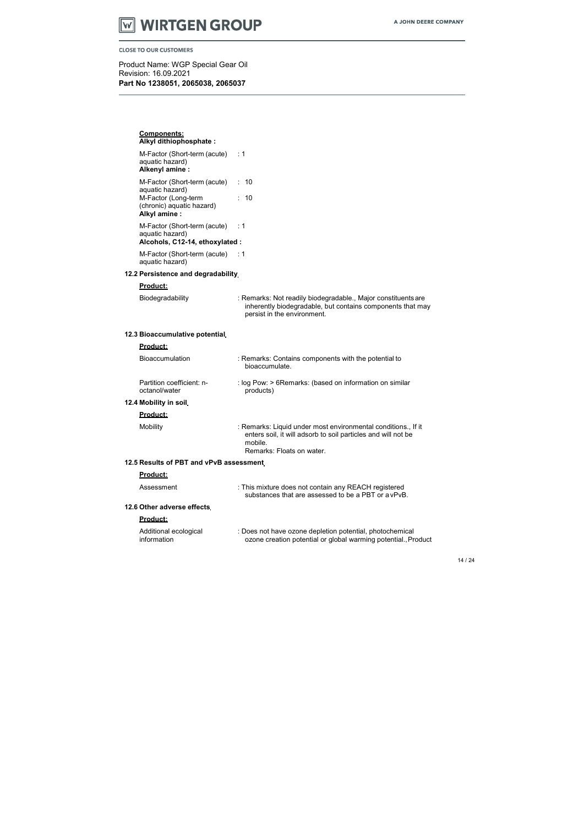# **WIRTGEN GROUP**

**CLOSE TO OUR CUSTOMERS** 

Product Name: WGP Special Gear Oil Revision: 16.09.2021 Part No 1238051, 2065038, 2065037

### Components: Alkyl dithiophosphate : M-Factor (Short-term (acute) aquatic hazard) Alkenyl amine : M-Factor (Short-term (acute) aquatic hazard) M-Factor (Long-term (chronic) aquatic hazard) Alkyl amine : M-Factor (Short-term (acute) aquatic hazard) : 1 : 10 : 10 : 1 Alcohols, C12-14, ethoxylated : M-Factor (Short-term (acute) : 1 aquatic hazard) 12.2 Persistence and degradability Product: Biodegradability : Remarks: Not readily biodegradable., Major constituents are inherently biodegradable, but contains components that may persist in the environment. 12.3 Bioaccumulative potential Product: Bioaccumulation : Remarks: Contains components with the potential to bioaccumulate. Partition coefficient: noctanol/water 12.4 Mobility in soil Product: : log Pow: > 6Remarks: (based on information on similar products) Mobility **Mobility** : Remarks: Liquid under most environmental conditions., If it enters soil, it will adsorb to soil particles and will not be mobile. Remarks: Floats on water. 12.5 Results of PBT and vPvB assessment Product: Assessment : This mixture does not contain any REACH registered substances that are assessed to be a PBT or a vPvB. 12.6 Other adverse effects Product: Additional ecological information : Does not have ozone depletion potential, photochemical ozone creation potential or global warming potential., Product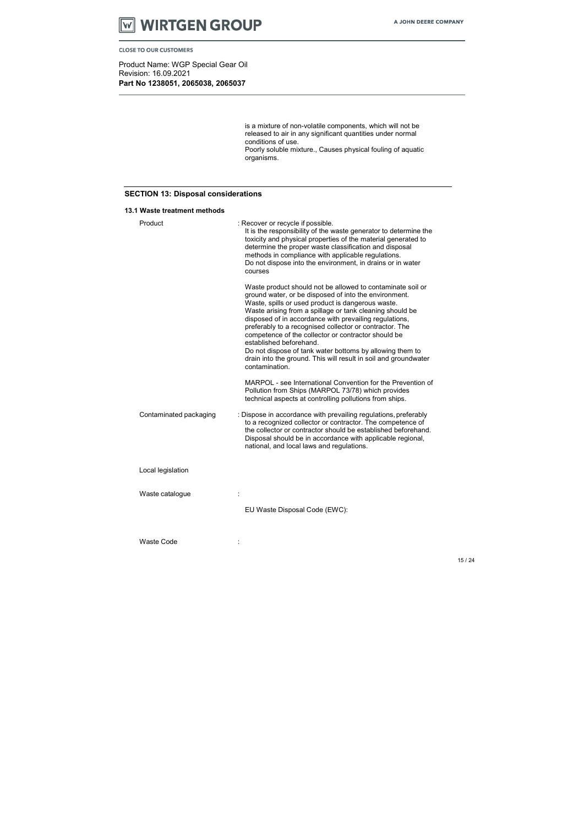

Product Name: WGP Special Gear Oil Revision: 16.09.2021 Part No 1238051, 2065038, 2065037

15 / 24

is a mixture of non-volatile components, which will not be released to air in any significant quantities under normal conditions of use. Poorly soluble mixture., Causes physical fouling of aquatic organisms.

# SECTION 13: Disposal considerations

#### 13.1 Waste treatment methods

| Product                | : Recover or recycle if possible.<br>It is the responsibility of the waste generator to determine the<br>toxicity and physical properties of the material generated to<br>determine the proper waste classification and disposal<br>methods in compliance with applicable regulations.<br>Do not dispose into the environment, in drains or in water<br>courses                                                                                                                                                                                                                              |
|------------------------|----------------------------------------------------------------------------------------------------------------------------------------------------------------------------------------------------------------------------------------------------------------------------------------------------------------------------------------------------------------------------------------------------------------------------------------------------------------------------------------------------------------------------------------------------------------------------------------------|
|                        | Waste product should not be allowed to contaminate soil or<br>ground water, or be disposed of into the environment.<br>Waste, spills or used product is dangerous waste.<br>Waste arising from a spillage or tank cleaning should be<br>disposed of in accordance with prevailing regulations,<br>preferably to a recognised collector or contractor. The<br>competence of the collector or contractor should be<br>established beforehand.<br>Do not dispose of tank water bottoms by allowing them to<br>drain into the ground. This will result in soil and groundwater<br>contamination. |
|                        | MARPOL - see International Convention for the Prevention of<br>Pollution from Ships (MARPOL 73/78) which provides<br>technical aspects at controlling pollutions from ships.                                                                                                                                                                                                                                                                                                                                                                                                                 |
| Contaminated packaging | : Dispose in accordance with prevailing regulations, preferably<br>to a recognized collector or contractor. The competence of<br>the collector or contractor should be established beforehand.<br>Disposal should be in accordance with applicable regional,<br>national, and local laws and regulations.                                                                                                                                                                                                                                                                                    |
| Local legislation      |                                                                                                                                                                                                                                                                                                                                                                                                                                                                                                                                                                                              |
| Waste catalogue        |                                                                                                                                                                                                                                                                                                                                                                                                                                                                                                                                                                                              |
|                        | EU Waste Disposal Code (EWC):                                                                                                                                                                                                                                                                                                                                                                                                                                                                                                                                                                |
| <b>Waste Code</b>      |                                                                                                                                                                                                                                                                                                                                                                                                                                                                                                                                                                                              |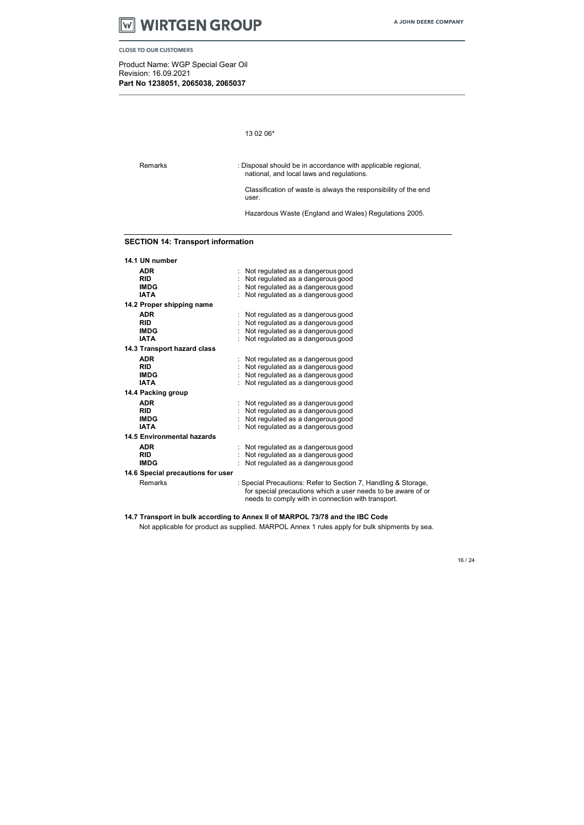

Product Name: WGP Special Gear Oil Revision: 16.09.2021 Part No 1238051, 2065038, 2065037

#### 13 02 06\*

Remarks : Disposal should be in accordance with applicable regional, national, and local laws and regulations.

> Classification of waste is always the responsibility of the end user.

Hazardous Waste (England and Wales) Regulations 2005.

# SECTION 14: Transport information

| 14.1 UN number                    |                                                                                                                                                                                      |
|-----------------------------------|--------------------------------------------------------------------------------------------------------------------------------------------------------------------------------------|
| <b>ADR</b>                        | Not regulated as a dangerous good                                                                                                                                                    |
| <b>RID</b>                        | Not regulated as a dangerous good                                                                                                                                                    |
| <b>IMDG</b>                       | Not regulated as a dangerous good                                                                                                                                                    |
| <b>IATA</b>                       | Not regulated as a dangerous good                                                                                                                                                    |
| 14.2 Proper shipping name         |                                                                                                                                                                                      |
| <b>ADR</b>                        | Not regulated as a dangerous good                                                                                                                                                    |
| <b>RID</b>                        | Not regulated as a dangerous good                                                                                                                                                    |
| <b>IMDG</b>                       | Not regulated as a dangerous good                                                                                                                                                    |
| <b>IATA</b>                       | Not regulated as a dangerous good                                                                                                                                                    |
| 14.3 Transport hazard class       |                                                                                                                                                                                      |
| <b>ADR</b>                        | Not regulated as a dangerous good                                                                                                                                                    |
| <b>RID</b>                        | Not regulated as a dangerous good                                                                                                                                                    |
| <b>IMDG</b>                       | Not regulated as a dangerous good                                                                                                                                                    |
| <b>IATA</b>                       | Not regulated as a dangerous good                                                                                                                                                    |
| 14.4 Packing group                |                                                                                                                                                                                      |
| <b>ADR</b>                        | Not regulated as a dangerous good                                                                                                                                                    |
| <b>RID</b>                        | Not regulated as a dangerous good                                                                                                                                                    |
| <b>IMDG</b>                       | Not regulated as a dangerous good                                                                                                                                                    |
| <b>IATA</b>                       | Not regulated as a dangerous good                                                                                                                                                    |
| <b>14.5 Environmental hazards</b> |                                                                                                                                                                                      |
| <b>ADR</b>                        | Not regulated as a dangerous good                                                                                                                                                    |
| <b>RID</b>                        | Not regulated as a dangerous good                                                                                                                                                    |
| <b>IMDG</b>                       | Not regulated as a dangerous good                                                                                                                                                    |
| 14.6 Special precautions for user |                                                                                                                                                                                      |
| Remarks                           | : Special Precautions: Refer to Section 7, Handling & Storage,<br>for special precautions which a user needs to be aware of or<br>needs to comply with in connection with transport. |

#### 14.7 Transport in bulk according to Annex II of MARPOL 73/78 and the IBC Code

Not applicable for product as supplied. MARPOL Annex 1 rules apply for bulk shipments by sea.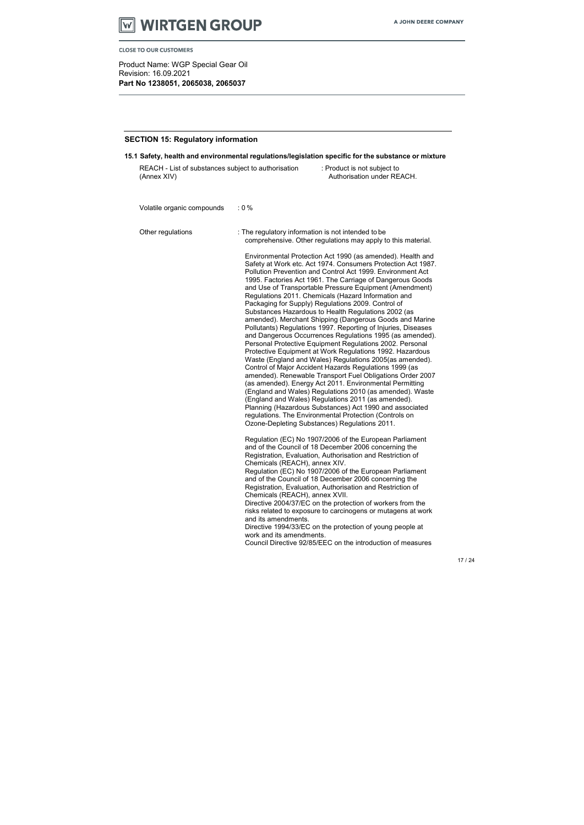

Product Name: WGP Special Gear Oil Revision: 16.09.2021 Part No 1238051, 2065038, 2065037

#### SECTION 15: Regulatory information

15.1 Safety, health and environmental regulations/legislation specific for the substance or mixture

Other regulations : The regulatory information is not intended to be comprehensive. Other regulations may apply to this material.

| REACH - List of substances subject to authorisation | : Product is not subject to |
|-----------------------------------------------------|-----------------------------|
| (Annex XIV)                                         | Authorisation under REACH.  |
|                                                     |                             |

Volatile organic compounds : 0 %

Environmental Protection Act 1990 (as amended). Health and Safety at Work etc. Act 1974. Consumers Protection Act 1987. Pollution Prevention and Control Act 1999. Environment Act 1995. Factories Act 1961. The Carriage of Dangerous Goods and Use of Transportable Pressure Equipment (Amendment) Regulations 2011. Chemicals (Hazard Information and Packaging for Supply) Regulations 2009. Control of Substances Hazardous to Health Regulations 2002 (as amended). Merchant Shipping (Dangerous Goods and Marine Pollutants) Regulations 1997. Reporting of Injuries, Diseases and Dangerous Occurrences Regulations 1995 (as amended). Personal Protective Equipment Regulations 2002. Personal Protective Equipment at Work Regulations 1992. Hazardous Waste (England and Wales) Regulations 2005(as amended). Control of Major Accident Hazards Regulations 1999 (as amended). Renewable Transport Fuel Obligations Order 2007 (as amended). Energy Act 2011. Environmental Permitting (England and Wales) Regulations 2010 (as amended). Waste (England and Wales) Regulations 2011 (as amended). Planning (Hazardous Substances) Act 1990 and associated regulations. The Environmental Protection (Controls on Ozone-Depleting Substances) Regulations 2011.

Regulation (EC) No 1907/2006 of the European Parliament and of the Council of 18 December 2006 concerning the Registration, Evaluation, Authorisation and Restriction of Chemicals (REACH), annex XIV. Regulation (EC) No 1907/2006 of the European Parliament and of the Council of 18 December 2006 concerning the Registration, Evaluation, Authorisation and Restriction of Chemicals (REACH), annex XVII. Directive 2004/37/EC on the protection of workers from the risks related to exposure to carcinogens or mutagens at work and its amendments. Directive 1994/33/EC on the protection of young people at work and its amendments.

Council Directive 92/85/EEC on the introduction of measures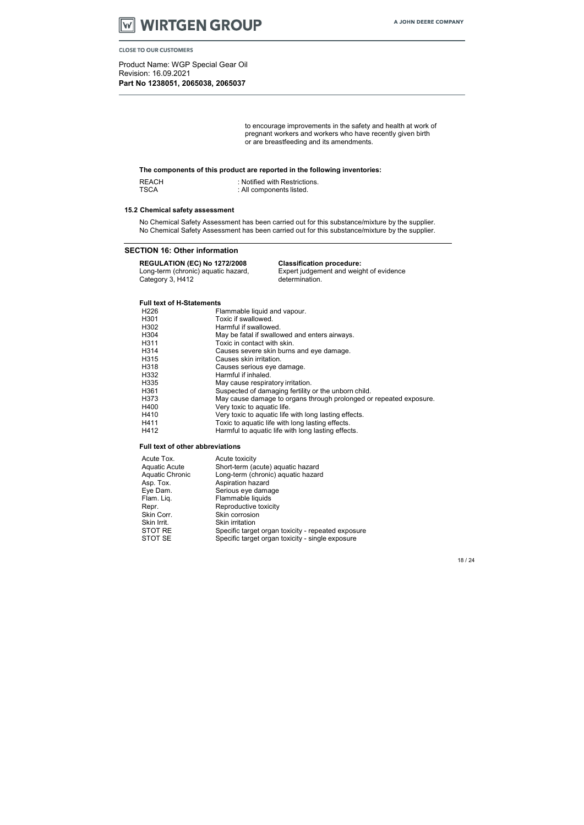٧ì

Product Name: WGP Special Gear Oil Revision: 16.09.2021 Part No 1238051, 2065038, 2065037

to encourage improvements in the safety and health at work of pregnant workers and workers who have recently given birth or are breastfeeding and its amendments.

#### The components of this product are reported in the following inventories:

REACH : Notified with Restrictions.<br>TSCA : All components listed. : All components listed.

#### 15.2 Chemical safety assessment

No Chemical Safety Assessment has been carried out for this substance/mixture by the supplier. No Chemical Safety Assessment has been carried out for this substance/mixture by the supplier.

#### SECTION 16: Other information

### REGULATION (EC) No 1272/2008 Classification procedure:

Long-term (chronic) aquatic hazard, Category 3, H412

Expert judgement and weight of evidence determination.

#### Full text of H-Statements

| Flammable liquid and vapour.                                       |
|--------------------------------------------------------------------|
| Toxic if swallowed.                                                |
| Harmful if swallowed.                                              |
| May be fatal if swallowed and enters airways.                      |
| Toxic in contact with skin.                                        |
| Causes severe skin burns and eye damage.                           |
| Causes skin irritation.                                            |
| Causes serious eye damage.                                         |
| Harmful if inhaled.                                                |
| May cause respiratory irritation.                                  |
| Suspected of damaging fertility or the unborn child.               |
| May cause damage to organs through prolonged or repeated exposure. |
| Very toxic to aquatic life.                                        |
| Very toxic to aquatic life with long lasting effects.              |
| Toxic to aquatic life with long lasting effects.                   |
| Harmful to aquatic life with long lasting effects.                 |
|                                                                    |

#### Full text of other abbreviations

| Acute Tox.             | Acute toxicity                                     |
|------------------------|----------------------------------------------------|
| <b>Aquatic Acute</b>   | Short-term (acute) aquatic hazard                  |
| <b>Aquatic Chronic</b> | Long-term (chronic) aquatic hazard                 |
| Asp. Tox.              | Aspiration hazard                                  |
| Eye Dam.               | Serious eye damage                                 |
| Flam. Liq.             | Flammable liquids                                  |
| Repr.                  | Reproductive toxicity                              |
| Skin Corr.             | Skin corrosion                                     |
| Skin Irrit.            | <b>Skin irritation</b>                             |
| STOT RE                | Specific target organ toxicity - repeated exposure |
| STOT SE                | Specific target organ toxicity - single exposure   |
|                        |                                                    |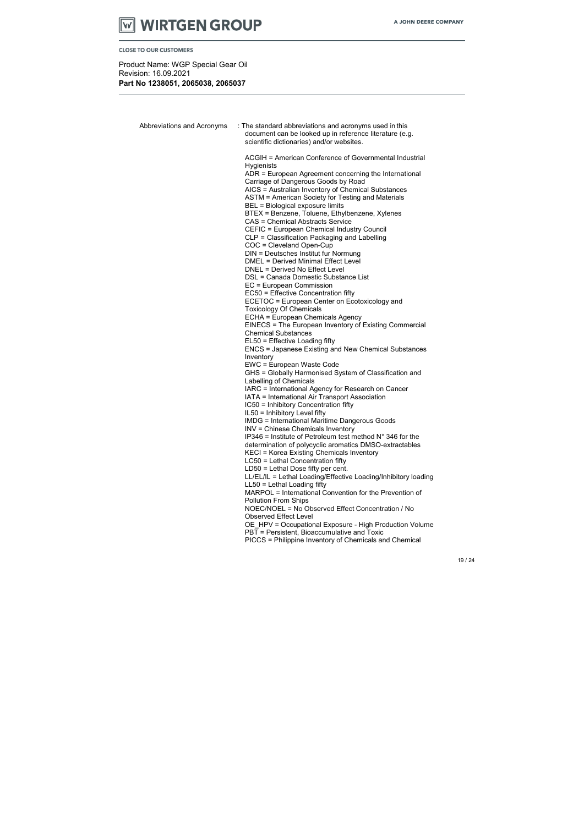

Product Name: WGP Special Gear Oil Revision: 16.09.2021 Part No 1238051, 2065038, 2065037

| Abbreviations and Acronyms | : The standard abbreviations and acronyms used in this<br>document can be looked up in reference literature (e.g.<br>scientific dictionaries) and/or websites.                                                                                                                                                                                                                                                                                                                                                                                                                                                                                                                                                                                                                                                                                                                                                                                                                                                                                                                                                                                                                                                                                                                                                                                                                                                                                                                                                                                                                                                                                                                                                                                                                                                                                           |
|----------------------------|----------------------------------------------------------------------------------------------------------------------------------------------------------------------------------------------------------------------------------------------------------------------------------------------------------------------------------------------------------------------------------------------------------------------------------------------------------------------------------------------------------------------------------------------------------------------------------------------------------------------------------------------------------------------------------------------------------------------------------------------------------------------------------------------------------------------------------------------------------------------------------------------------------------------------------------------------------------------------------------------------------------------------------------------------------------------------------------------------------------------------------------------------------------------------------------------------------------------------------------------------------------------------------------------------------------------------------------------------------------------------------------------------------------------------------------------------------------------------------------------------------------------------------------------------------------------------------------------------------------------------------------------------------------------------------------------------------------------------------------------------------------------------------------------------------------------------------------------------------|
|                            | ACGIH = American Conference of Governmental Industrial<br>Hygienists<br>ADR = European Agreement concerning the International<br>Carriage of Dangerous Goods by Road<br>AICS = Australian Inventory of Chemical Substances<br>ASTM = American Society for Testing and Materials<br>BEL = Biological exposure limits<br>BTEX = Benzene, Toluene, Ethylbenzene, Xylenes<br>CAS = Chemical Abstracts Service<br>CEFIC = European Chemical Industry Council<br>CLP = Classification Packaging and Labelling<br>COC = Cleveland Open-Cup<br>DIN = Deutsches Institut fur Normung<br><b>DMEL = Derived Minimal Effect Level</b><br><b>DNEL = Derived No Effect Level</b><br>DSL = Canada Domestic Substance List<br>EC = European Commission<br>EC50 = Effective Concentration fifty<br>ECETOC = European Center on Ecotoxicology and<br><b>Toxicology Of Chemicals</b><br><b>ECHA = European Chemicals Agency</b><br>EINECS = The European Inventory of Existing Commercial<br><b>Chemical Substances</b><br>EL50 = Effective Loading fifty<br><b>ENCS = Japanese Existing and New Chemical Substances</b><br>Inventory<br>EWC = European Waste Code<br>GHS = Globally Harmonised System of Classification and<br>Labelling of Chemicals<br>IARC = International Agency for Research on Cancer<br>IATA = International Air Transport Association<br>IC50 = Inhibitory Concentration fifty<br>IL50 = Inhibitory Level fifty<br><b>IMDG = International Maritime Dangerous Goods</b><br><b>INV = Chinese Chemicals Inventory</b><br>$IP346$ = Institute of Petroleum test method $N^{\circ}$ 346 for the<br>determination of polycyclic aromatics DMSO-extractables<br>KECI = Korea Existing Chemicals Inventory<br>LC50 = Lethal Concentration fifty<br>$LD50 = Lethal Does fifty per cent.$<br>LL/EL/IL = Lethal Loading/Effective Loading/Inhibitory loading |
|                            | $LL50 = Lethal$ Loading fifty<br>MARPOL = International Convention for the Prevention of<br>Pollution From Ships<br>NOEC/NOEL = No Observed Effect Concentration / No<br><b>Observed Effect Level</b>                                                                                                                                                                                                                                                                                                                                                                                                                                                                                                                                                                                                                                                                                                                                                                                                                                                                                                                                                                                                                                                                                                                                                                                                                                                                                                                                                                                                                                                                                                                                                                                                                                                    |
|                            | OE_HPV = Occupational Exposure - High Production Volume<br>PBT = Persistent, Bioaccumulative and Toxic<br>PICCS = Philippine Inventory of Chemicals and Chemical                                                                                                                                                                                                                                                                                                                                                                                                                                                                                                                                                                                                                                                                                                                                                                                                                                                                                                                                                                                                                                                                                                                                                                                                                                                                                                                                                                                                                                                                                                                                                                                                                                                                                         |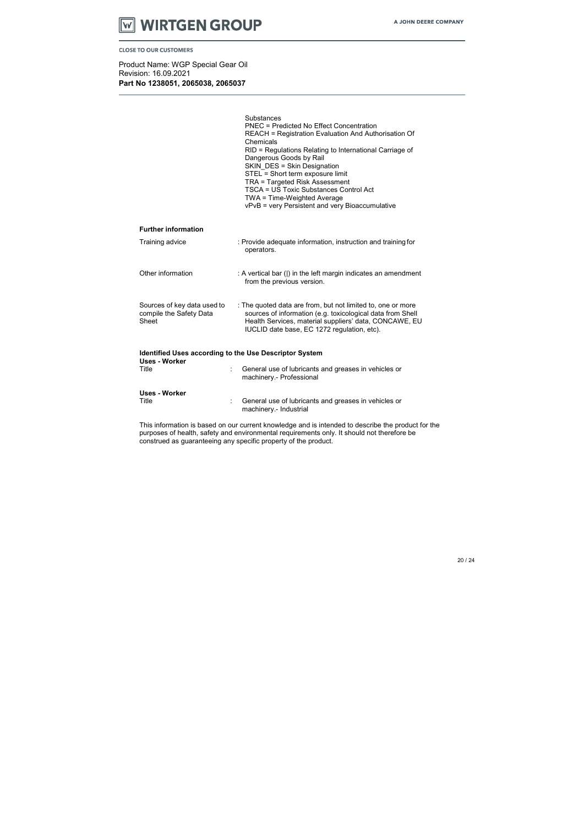

Product Name: WGP Special Gear Oil Revision: 16.09.2021 Part No 1238051, 2065038, 2065037

|                                                                 | Substances<br><b>PNEC = Predicted No Effect Concentration</b><br><b>REACH = Registration Evaluation And Authorisation Of</b><br>Chemicals<br>RID = Regulations Relating to International Carriage of<br>Dangerous Goods by Rail<br><b>SKIN DES = Skin Designation</b><br>STEL = Short term exposure limit<br><b>TRA = Targeted Risk Assessment</b><br><b>TSCA = US Toxic Substances Control Act</b><br>TWA = Time-Weighted Average<br>vPvB = very Persistent and very Bioaccumulative |
|-----------------------------------------------------------------|---------------------------------------------------------------------------------------------------------------------------------------------------------------------------------------------------------------------------------------------------------------------------------------------------------------------------------------------------------------------------------------------------------------------------------------------------------------------------------------|
| <b>Further information</b>                                      |                                                                                                                                                                                                                                                                                                                                                                                                                                                                                       |
| Training advice                                                 | : Provide adequate information, instruction and training for<br>operators.                                                                                                                                                                                                                                                                                                                                                                                                            |
| Other information                                               | : A vertical bar ( ) in the left margin indicates an amendment<br>from the previous version.                                                                                                                                                                                                                                                                                                                                                                                          |
| Sources of key data used to<br>compile the Safety Data<br>Sheet | : The quoted data are from, but not limited to, one or more<br>sources of information (e.g. toxicological data from Shell<br>Health Services, material suppliers' data, CONCAWE, EU<br>IUCLID date base, EC 1272 regulation, etc).                                                                                                                                                                                                                                                    |
| <b>Identified Uses according to the Use Descriptor System</b>   |                                                                                                                                                                                                                                                                                                                                                                                                                                                                                       |
| <b>Uses - Worker</b><br>Title                                   | General use of lubricants and greases in vehicles or<br>machinery - Professional                                                                                                                                                                                                                                                                                                                                                                                                      |
| <b>Uses - Worker</b><br>Title                                   | General use of lubricants and greases in vehicles or<br>machinery.- Industrial                                                                                                                                                                                                                                                                                                                                                                                                        |

This information is based on our current knowledge and is intended to describe the product for the purposes of health, safety and environmental requirements only. It should not therefore be construed as guaranteeing any specific property of the product.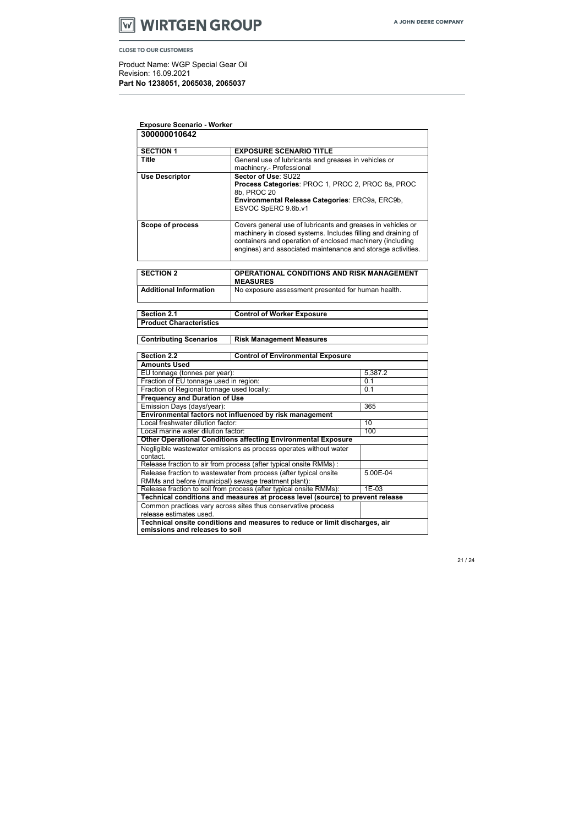

Product Name: WGP Special Gear Oil Revision: 16.09.2021 Part No 1238051, 2065038, 2065037

| <b>Exposure Scenario - Worker</b> |                                                                                                                                                                                                                                                          |
|-----------------------------------|----------------------------------------------------------------------------------------------------------------------------------------------------------------------------------------------------------------------------------------------------------|
| 300000010642                      |                                                                                                                                                                                                                                                          |
| <b>SECTION 1</b>                  | <b>EXPOSURE SCENARIO TITLE</b>                                                                                                                                                                                                                           |
| <b>Title</b>                      | General use of lubricants and greases in vehicles or<br>machinery.- Professional                                                                                                                                                                         |
| <b>Use Descriptor</b>             | Sector of Use: SU22<br>Process Categories: PROC 1, PROC 2, PROC 8a, PROC<br>8b, PROC 20<br>Environmental Release Categories: ERC9a, ERC9b,<br>ESVOC SpERC 9.6b.v1                                                                                        |
| <b>Scope of process</b>           | Covers general use of lubricants and greases in vehicles or<br>machinery in closed systems. Includes filling and draining of<br>containers and operation of enclosed machinery (including<br>engines) and associated maintenance and storage activities. |

| <b>SECTION 2</b>              | <b>OPERATIONAL CONDITIONS AND RISK MANAGEMENT</b><br><b>MEASURES</b> |
|-------------------------------|----------------------------------------------------------------------|
| <b>Additional Information</b> | No exposure assessment presented for human health.                   |

| Section 2.1             | <b>Control of Worker Exposure</b> |
|-------------------------|-----------------------------------|
| Product Characteristics |                                   |

**Contributing Scenarios | Risk Management Measures** 

| <b>Section 2.2</b>                                                                                            | <b>Control of Environmental Exposure</b>                     |          |  |
|---------------------------------------------------------------------------------------------------------------|--------------------------------------------------------------|----------|--|
| <b>Amounts Used</b>                                                                                           |                                                              |          |  |
| EU tonnage (tonnes per year):                                                                                 |                                                              | 5,387.2  |  |
| Fraction of EU tonnage used in region:                                                                        |                                                              | 0.1      |  |
| Fraction of Regional tonnage used locally:                                                                    |                                                              | 0.1      |  |
| <b>Frequency and Duration of Use</b>                                                                          |                                                              |          |  |
| Emission Days (days/year):                                                                                    |                                                              | 365      |  |
| Environmental factors not influenced by risk management                                                       |                                                              |          |  |
| Local freshwater dilution factor:                                                                             |                                                              | 10       |  |
| Local marine water dilution factor:                                                                           |                                                              | 100      |  |
| <b>Other Operational Conditions affecting Environmental Exposure</b>                                          |                                                              |          |  |
| Negligible wastewater emissions as process operates without water                                             |                                                              |          |  |
| contact.                                                                                                      |                                                              |          |  |
| Release fraction to air from process (after typical onsite RMMs) :                                            |                                                              |          |  |
| Release fraction to wastewater from process (after typical onsite                                             |                                                              | 5.00E-04 |  |
| RMMs and before (municipal) sewage treatment plant):                                                          |                                                              |          |  |
| Release fraction to soil from process (after typical onsite RMMs):<br>1E-03                                   |                                                              |          |  |
| Technical conditions and measures at process level (source) to prevent release                                |                                                              |          |  |
|                                                                                                               | Common practices vary across sites thus conservative process |          |  |
| release estimates used.                                                                                       |                                                              |          |  |
| Technical onsite conditions and measures to reduce or limit discharges, air<br>emissions and releases to soil |                                                              |          |  |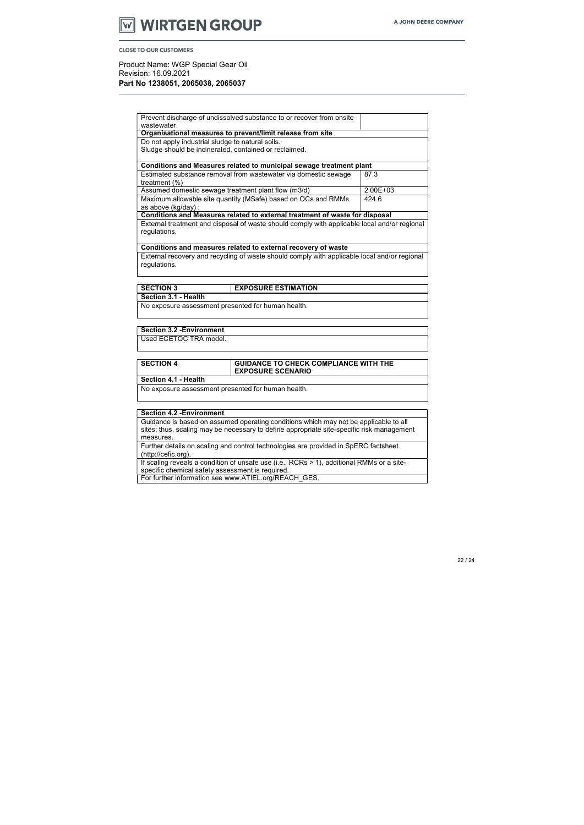# **WIRTGEN GROUP** W

**CLOSE TO OUR CUSTOMERS** 

Product Name: WGP Special Gear Oil Revision: 16.09.2021

Part No 1238051, 2065038, 2065037

#### SECTION 3 EXPOSURE ESTIMATION Section 3.1 - Health

| Prevent discharge of undissolved substance to or recover from onsite                         |              |  |
|----------------------------------------------------------------------------------------------|--------------|--|
| wastewater.<br>Organisational measures to prevent/limit release from site                    |              |  |
|                                                                                              |              |  |
| Do not apply industrial sludge to natural soils.                                             |              |  |
| Sludge should be incinerated, contained or reclaimed.                                        |              |  |
|                                                                                              |              |  |
| Conditions and Measures related to municipal sewage treatment plant                          |              |  |
| Estimated substance removal from wastewater via domestic sewage                              | 87.3         |  |
| treatment $(\%)$                                                                             |              |  |
| Assumed domestic sewage treatment plant flow (m3/d)                                          | $2.00E + 03$ |  |
| Maximum allowable site quantity (MSafe) based on OCs and RMMs                                | 424.6        |  |
| as above (kg/day) :                                                                          |              |  |
| <b>Conditions and Measures related to external treatment of waste for disposal</b>           |              |  |
| External treatment and disposal of waste should comply with applicable local and/or regional |              |  |
| regulations.                                                                                 |              |  |
|                                                                                              |              |  |
| Conditions and measures related to external recovery of waste                                |              |  |
| External recovery and recycling of waste should comply with applicable local and/or regional |              |  |
| regulations.                                                                                 |              |  |
|                                                                                              |              |  |

If scaling reveals a condition of unsafe use (i.e., RCRs > 1), additional RMMs or a sitespecific chemical safety assessment is required.

No exposure assessment presented for human health.

### Section 3.2 -Environment

Used ECETOC TRA model.

| <b>SECTION 4</b>     | <b>GUIDANCE TO CHECK COMPLIANCE WITH THE</b><br><b>EXPOSURE SCENARIO</b> |
|----------------------|--------------------------------------------------------------------------|
| Section 4.1 - Health |                                                                          |

No exposure assessment presented for human health.

#### Section 4.2 -Environment

Guidance is based on assumed operating conditions which may not be applicable to all sites; thus, scaling may be necessary to define appropriate site-specific risk management measures.

Further details on scaling and control technologies are provided in SpERC factsheet (http://cefic.org).

For further information see www.ATIEL.org/REACH\_GES.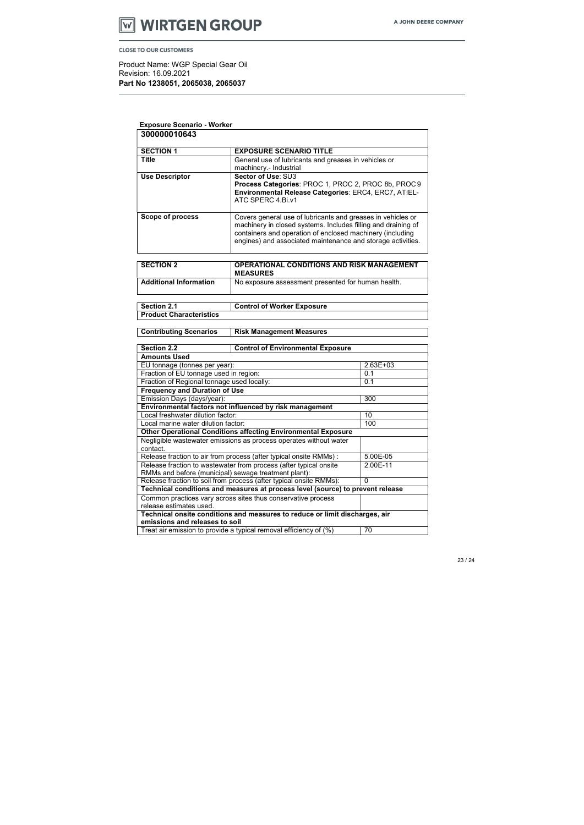

Product Name: WGP Special Gear Oil Revision: 16.09.2021 Part No 1238051, 2065038, 2065037

| <b>Exposure Scenario - Worker</b>                                                  |                                                                                                             |              |
|------------------------------------------------------------------------------------|-------------------------------------------------------------------------------------------------------------|--------------|
| 300000010643                                                                       |                                                                                                             |              |
|                                                                                    |                                                                                                             |              |
| <b>SECTION 1</b>                                                                   | <b>EXPOSURE SCENARIO TITLE</b>                                                                              |              |
| <b>Title</b>                                                                       | General use of lubricants and greases in vehicles or                                                        |              |
|                                                                                    | machinery.- Industrial                                                                                      |              |
| <b>Use Descriptor</b>                                                              | Sector of Use: SU3                                                                                          |              |
|                                                                                    | Process Categories: PROC 1, PROC 2, PROC 8b, PROC 9<br>Environmental Release Categories: ERC4, ERC7, ATIEL- |              |
|                                                                                    | ATC SPERC 4.Bi.v1                                                                                           |              |
|                                                                                    |                                                                                                             |              |
| Scope of process                                                                   | Covers general use of lubricants and greases in vehicles or                                                 |              |
|                                                                                    | machinery in closed systems. Includes filling and draining of                                               |              |
|                                                                                    | containers and operation of enclosed machinery (including                                                   |              |
|                                                                                    | engines) and associated maintenance and storage activities.                                                 |              |
|                                                                                    |                                                                                                             |              |
| <b>SECTION 2</b>                                                                   | <b>OPERATIONAL CONDITIONS AND RISK MANAGEMENT</b>                                                           |              |
|                                                                                    | <b>MEASURES</b>                                                                                             |              |
| <b>Additional Information</b>                                                      | No exposure assessment presented for human health.                                                          |              |
|                                                                                    |                                                                                                             |              |
| <b>Section 2.1</b>                                                                 | <b>Control of Worker Exposure</b>                                                                           |              |
| <b>Product Characteristics</b>                                                     |                                                                                                             |              |
|                                                                                    |                                                                                                             |              |
| <b>Contributing Scenarios</b>                                                      | <b>Risk Management Measures</b>                                                                             |              |
|                                                                                    |                                                                                                             |              |
| Section 2.2                                                                        | <b>Control of Environmental Exposure</b>                                                                    |              |
| <b>Amounts Used</b>                                                                |                                                                                                             |              |
| EU tonnage (tonnes per year):                                                      |                                                                                                             | $2.63E + 03$ |
| Fraction of EU tonnage used in region:                                             |                                                                                                             | 0.1          |
| Fraction of Regional tonnage used locally:                                         |                                                                                                             | 0.1          |
| <b>Frequency and Duration of Use</b>                                               |                                                                                                             |              |
| Emission Days (days/year):                                                         |                                                                                                             | 300          |
|                                                                                    | Environmental factors not influenced by risk management                                                     |              |
| Local freshwater dilution factor:                                                  |                                                                                                             | 10           |
| Local marine water dilution factor:                                                |                                                                                                             | 100          |
|                                                                                    | Other Operational Conditions affecting Environmental Exposure                                               |              |
| contact.                                                                           | Negligible wastewater emissions as process operates without water                                           |              |
|                                                                                    | Release fraction to air from process (after typical onsite RMMs) :                                          | 5.00E-05     |
|                                                                                    | Release fraction to wastewater from process (after typical onsite                                           |              |
| 2.00E-11<br>RMMs and before (municipal) sewage treatment plant):                   |                                                                                                             |              |
| Release fraction to soil from process (after typical onsite RMMs):<br>$\mathbf{0}$ |                                                                                                             |              |
| Technical conditions and measures at process level (source) to prevent release     |                                                                                                             |              |
|                                                                                    | Common practices vary across sites thus conservative process                                                |              |
| release estimates used.                                                            |                                                                                                             |              |
|                                                                                    | Technical onsite conditions and measures to reduce or limit discharges, air                                 |              |

emissions and releases to soil

Treat air emission to provide a typical removal efficiency of  $(\%)$  | 70